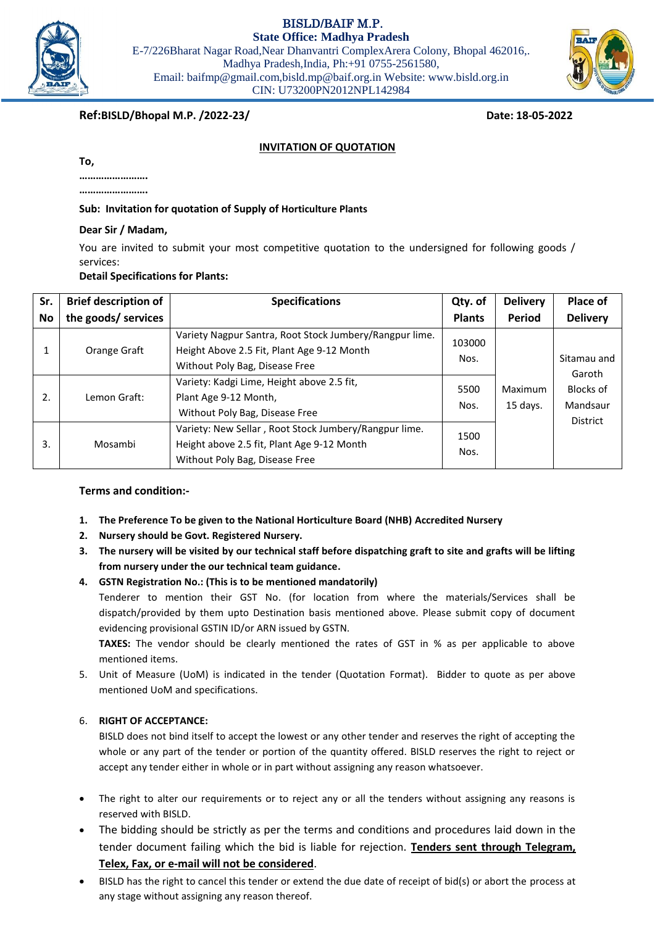BISLD/BAIF M.P.

**State Office: Madhya Pradesh**

E-7/226Bharat Nagar Road,Near Dhanvantri ComplexArera Colony, Bhopal 462016,. Madhya Pradesh,India, Ph:+91 0755-2561580, Email: baifmp@gmail.com,bisld.mp@baif.org.in Website: www.bisld.org.in CIN: U73200PN2012NPL142984

**Ref:BISLD/Bhopal M.P. /2022-23/ Date: 18-05-2022**

# **INVITATION OF QUOTATION**

**To,**

**…………………….**

**…………………….**

**Sub: Invitation for quotation of Supply of Horticulture Plants**

**Dear Sir / Madam,**

You are invited to submit your most competitive quotation to the undersigned for following goods / services:

**Detail Specifications for Plants:**

| Sr.       | <b>Brief description of</b> | <b>Specifications</b>                                                                                                                   | Qty. of        | <b>Delivery</b>     | Place of                                                          |
|-----------|-----------------------------|-----------------------------------------------------------------------------------------------------------------------------------------|----------------|---------------------|-------------------------------------------------------------------|
| <b>No</b> | the goods/ services         |                                                                                                                                         | <b>Plants</b>  | <b>Period</b>       | <b>Delivery</b>                                                   |
|           | Orange Graft                | Variety Nagpur Santra, Root Stock Jumbery/Rangpur lime.<br>Height Above 2.5 Fit, Plant Age 9-12 Month<br>Without Poly Bag, Disease Free | 103000<br>Nos. | Maximum<br>15 days. | Sitamau and<br>Garoth<br>Blocks of<br>Mandsaur<br><b>District</b> |
| 2.        | Lemon Graft:                | Variety: Kadgi Lime, Height above 2.5 fit,<br>Plant Age 9-12 Month,<br>Without Poly Bag, Disease Free                                   | 5500<br>Nos.   |                     |                                                                   |
| 3.        | Mosambi                     | Variety: New Sellar, Root Stock Jumbery/Rangpur lime.<br>Height above 2.5 fit, Plant Age 9-12 Month<br>Without Poly Bag, Disease Free   | 1500<br>Nos.   |                     |                                                                   |

# **Terms and condition:-**

- **1. The Preference To be given to the National Horticulture Board (NHB) Accredited Nursery**
- **2. Nursery should be Govt. Registered Nursery.**
- **3. The nursery will be visited by our technical staff before dispatching graft to site and grafts will be lifting from nursery under the our technical team guidance.**
- **4. GSTN Registration No.: (This is to be mentioned mandatorily)**

Tenderer to mention their GST No. (for location from where the materials/Services shall be dispatch/provided by them upto Destination basis mentioned above. Please submit copy of document evidencing provisional GSTIN ID/or ARN issued by GSTN.

**TAXES:** The vendor should be clearly mentioned the rates of GST in % as per applicable to above mentioned items.

5. Unit of Measure (UoM) is indicated in the tender (Quotation Format). Bidder to quote as per above mentioned UoM and specifications.

# 6. **RIGHT OF ACCEPTANCE:**

BISLD does not bind itself to accept the lowest or any other tender and reserves the right of accepting the whole or any part of the tender or portion of the quantity offered. BISLD reserves the right to reject or accept any tender either in whole or in part without assigning any reason whatsoever.

- The right to alter our requirements or to reject any or all the tenders without assigning any reasons is reserved with BISLD.
- The bidding should be strictly as per the terms and conditions and procedures laid down in the tender document failing which the bid is liable for rejection. **Tenders sent through Telegram, Telex, Fax, or e-mail will not be considered**.
- BISLD has the right to cancel this tender or extend the due date of receipt of bid(s) or abort the process at any stage without assigning any reason thereof.